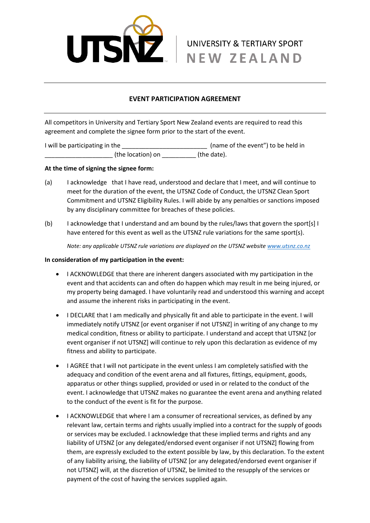

## **EVENT PARTICIPATION AGREEMENT**

All competitors in University and Tertiary Sport New Zealand events are required to read this agreement and complete the signee form prior to the start of the event.

I will be participating in the \_\_\_\_\_\_\_\_\_\_\_\_\_\_\_\_\_\_\_\_\_\_\_\_\_\_\_\_\_\_\_\_\_ (name of the event") to be held in \_\_\_\_\_\_\_\_\_\_\_\_\_\_\_\_\_\_\_\_\_\_\_\_\_\_\_\_\_ (the location) on \_\_\_\_\_\_\_\_\_\_\_\_\_\_\_ (the date).

## **At the time of signing the signee form:**

- (a) I acknowledge that I have read, understood and declare that I meet, and will continue to meet for the duration of the event, the UTSNZ Code of Conduct, the UTSNZ Clean Sport Commitment and UTSNZ Eligibility Rules. I will abide by any penalties or sanctions imposed by any disciplinary committee for breaches of these policies.
- (b) I acknowledge that I understand and am bound by the rules/laws that govern the sport[s] I have entered for this event as well as the UTSNZ rule variations for the same sport(s).

*Note: any applicable UTSNZ rule variations are displayed on the UTSNZ website [www.utsnz.co.nz](http://www.utsnz.co.nz/)*

## **In consideration of my participation in the event:**

- I ACKNOWLEDGE that there are inherent dangers associated with my participation in the event and that accidents can and often do happen which may result in me being injured, or my property being damaged. I have voluntarily read and understood this warning and accept and assume the inherent risks in participating in the event.
- I DECLARE that I am medically and physically fit and able to participate in the event. I will immediately notify UTSNZ [or event organiser if not UTSNZ] in writing of any change to my medical condition, fitness or ability to participate. I understand and accept that UTSNZ [or event organiser if not UTSNZ] will continue to rely upon this declaration as evidence of my fitness and ability to participate.
- I AGREE that I will not participate in the event unless I am completely satisfied with the adequacy and condition of the event arena and all fixtures, fittings, equipment, goods, apparatus or other things supplied, provided or used in or related to the conduct of the event. I acknowledge that UTSNZ makes no guarantee the event arena and anything related to the conduct of the event is fit for the purpose.
- I ACKNOWLEDGE that where I am a consumer of recreational services, as defined by any relevant law, certain terms and rights usually implied into a contract for the supply of goods or services may be excluded. I acknowledge that these implied terms and rights and any liability of UTSNZ [or any delegated/endorsed event organiser if not UTSNZ] flowing from them, are expressly excluded to the extent possible by law, by this declaration. To the extent of any liability arising, the liability of UTSNZ [or any delegated/endorsed event organiser if not UTSNZ] will, at the discretion of UTSNZ, be limited to the resupply of the services or payment of the cost of having the services supplied again.